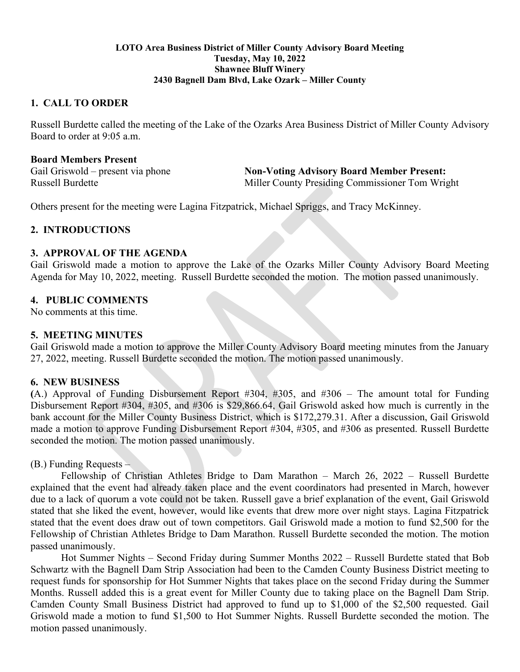#### **LOTO Area Business District of Miller County Advisory Board Meeting Tuesday, May 10, 2022 Shawnee Bluff Winery 2430 Bagnell Dam Blvd, Lake Ozark – Miller County**

### **1. CALL TO ORDER**

Russell Burdette called the meeting of the Lake of the Ozarks Area Business District of Miller County Advisory Board to order at 9:05 a.m.

### **Board Members Present**

Gail Griswold – present via phone **Non-Voting Advisory Board Member Present:** Russell Burdette Miller County Presiding Commissioner Tom Wright

Others present for the meeting were Lagina Fitzpatrick, Michael Spriggs, and Tracy McKinney.

# **2. INTRODUCTIONS**

#### **3. APPROVAL OF THE AGENDA**

Gail Griswold made a motion to approve the Lake of the Ozarks Miller County Advisory Board Meeting Agenda for May 10, 2022, meeting. Russell Burdette seconded the motion. The motion passed unanimously.

### **4. PUBLIC COMMENTS**

No comments at this time.

### **5. MEETING MINUTES**

Gail Griswold made a motion to approve the Miller County Advisory Board meeting minutes from the January 27, 2022, meeting. Russell Burdette seconded the motion. The motion passed unanimously.

#### **6. NEW BUSINESS**

**(**A.) Approval of Funding Disbursement Report #304, #305, and #306 – The amount total for Funding Disbursement Report #304, #305, and #306 is \$29,866.64, Gail Griswold asked how much is currently in the bank account for the Miller County Business District, which is \$172,279.31. After a discussion, Gail Griswold made a motion to approve Funding Disbursement Report #304, #305, and #306 as presented. Russell Burdette seconded the motion. The motion passed unanimously.

### (B.) Funding Requests –

Fellowship of Christian Athletes Bridge to Dam Marathon – March 26, 2022 – Russell Burdette explained that the event had already taken place and the event coordinators had presented in March, however due to a lack of quorum a vote could not be taken. Russell gave a brief explanation of the event, Gail Griswold stated that she liked the event, however, would like events that drew more over night stays. Lagina Fitzpatrick stated that the event does draw out of town competitors. Gail Griswold made a motion to fund \$2,500 for the Fellowship of Christian Athletes Bridge to Dam Marathon. Russell Burdette seconded the motion. The motion passed unanimously.

Hot Summer Nights – Second Friday during Summer Months 2022 – Russell Burdette stated that Bob Schwartz with the Bagnell Dam Strip Association had been to the Camden County Business District meeting to request funds for sponsorship for Hot Summer Nights that takes place on the second Friday during the Summer Months. Russell added this is a great event for Miller County due to taking place on the Bagnell Dam Strip. Camden County Small Business District had approved to fund up to \$1,000 of the \$2,500 requested. Gail Griswold made a motion to fund \$1,500 to Hot Summer Nights. Russell Burdette seconded the motion. The motion passed unanimously.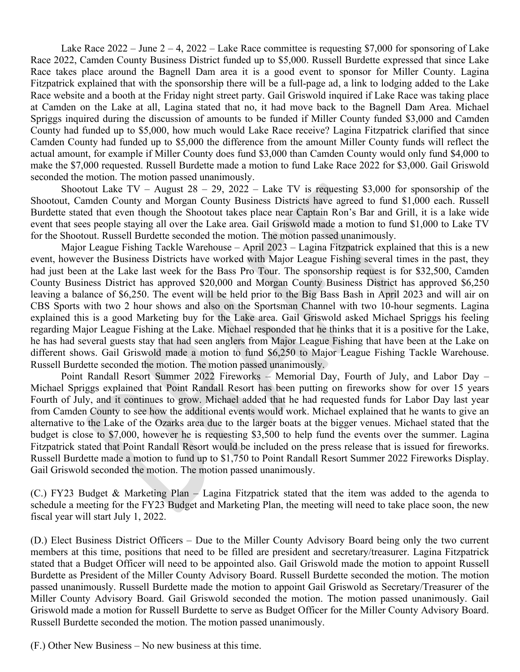Lake Race  $2022 - \text{June } 2 - 4$ ,  $2022 - \text{ Lake Race committee is requesting } $7,000$  for sponsoring of Lake Race 2022, Camden County Business District funded up to \$5,000. Russell Burdette expressed that since Lake Race takes place around the Bagnell Dam area it is a good event to sponsor for Miller County. Lagina Fitzpatrick explained that with the sponsorship there will be a full-page ad, a link to lodging added to the Lake Race website and a booth at the Friday night street party. Gail Griswold inquired if Lake Race was taking place at Camden on the Lake at all, Lagina stated that no, it had move back to the Bagnell Dam Area. Michael Spriggs inquired during the discussion of amounts to be funded if Miller County funded \$3,000 and Camden County had funded up to \$5,000, how much would Lake Race receive? Lagina Fitzpatrick clarified that since Camden County had funded up to \$5,000 the difference from the amount Miller County funds will reflect the actual amount, for example if Miller County does fund \$3,000 than Camden County would only fund \$4,000 to make the \$7,000 requested. Russell Burdette made a motion to fund Lake Race 2022 for \$3,000. Gail Griswold seconded the motion. The motion passed unanimously.

Shootout Lake TV – August  $28 - 29$ ,  $2022$  – Lake TV is requesting \$3,000 for sponsorship of the Shootout, Camden County and Morgan County Business Districts have agreed to fund \$1,000 each. Russell Burdette stated that even though the Shootout takes place near Captain Ron's Bar and Grill, it is a lake wide event that sees people staying all over the Lake area. Gail Griswold made a motion to fund \$1,000 to Lake TV for the Shootout. Russell Burdette seconded the motion. The motion passed unanimously.

Major League Fishing Tackle Warehouse – April 2023 – Lagina Fitzpatrick explained that this is a new event, however the Business Districts have worked with Major League Fishing several times in the past, they had just been at the Lake last week for the Bass Pro Tour. The sponsorship request is for \$32,500, Camden County Business District has approved \$20,000 and Morgan County Business District has approved \$6,250 leaving a balance of \$6,250. The event will be held prior to the Big Bass Bash in April 2023 and will air on CBS Sports with two 2 hour shows and also on the Sportsman Channel with two 10-hour segments. Lagina explained this is a good Marketing buy for the Lake area. Gail Griswold asked Michael Spriggs his feeling regarding Major League Fishing at the Lake. Michael responded that he thinks that it is a positive for the Lake, he has had several guests stay that had seen anglers from Major League Fishing that have been at the Lake on different shows. Gail Griswold made a motion to fund \$6,250 to Major League Fishing Tackle Warehouse. Russell Burdette seconded the motion. The motion passed unanimously.

Point Randall Resort Summer 2022 Fireworks – Memorial Day, Fourth of July, and Labor Day – Michael Spriggs explained that Point Randall Resort has been putting on fireworks show for over 15 years Fourth of July, and it continues to grow. Michael added that he had requested funds for Labor Day last year from Camden County to see how the additional events would work. Michael explained that he wants to give an alternative to the Lake of the Ozarks area due to the larger boats at the bigger venues. Michael stated that the budget is close to \$7,000, however he is requesting \$3,500 to help fund the events over the summer. Lagina Fitzpatrick stated that Point Randall Resort would be included on the press release that is issued for fireworks. Russell Burdette made a motion to fund up to \$1,750 to Point Randall Resort Summer 2022 Fireworks Display. Gail Griswold seconded the motion. The motion passed unanimously.

(C.) FY23 Budget & Marketing Plan – Lagina Fitzpatrick stated that the item was added to the agenda to schedule a meeting for the FY23 Budget and Marketing Plan, the meeting will need to take place soon, the new fiscal year will start July 1, 2022.

(D.) Elect Business District Officers – Due to the Miller County Advisory Board being only the two current members at this time, positions that need to be filled are president and secretary/treasurer. Lagina Fitzpatrick stated that a Budget Officer will need to be appointed also. Gail Griswold made the motion to appoint Russell Burdette as President of the Miller County Advisory Board. Russell Burdette seconded the motion. The motion passed unanimously. Russell Burdette made the motion to appoint Gail Griswold as Secretary/Treasurer of the Miller County Advisory Board. Gail Griswold seconded the motion. The motion passed unanimously. Gail Griswold made a motion for Russell Burdette to serve as Budget Officer for the Miller County Advisory Board. Russell Burdette seconded the motion. The motion passed unanimously.

(F.) Other New Business – No new business at this time.